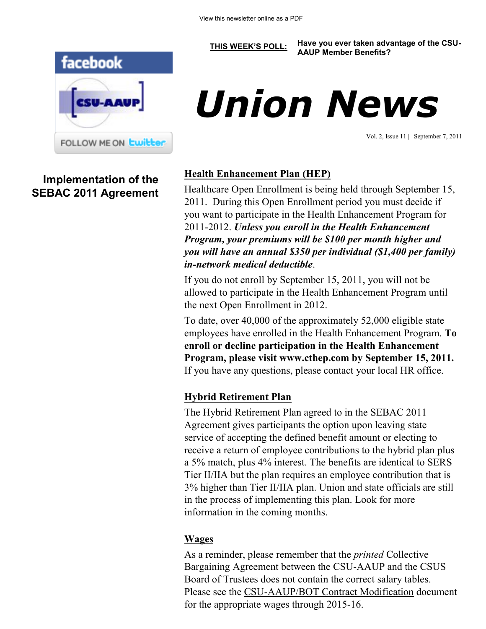

**Implementation of the SEBAC 2011 Agreement**

# *Union News*

**[THIS WEEK'S POLL:](http://www.csuaaup.org/) Have you ever taken advantage of the CSU-AAUP Member Benefits?** 

Vol. 2, Issue 11 | September 7, 2011

# **Health Enhancement Plan (HEP)**

Healthcare Open Enrollment is being held through September 15, 2011. During this Open Enrollment period you must decide if you want to participate in the Health Enhancement Program for 2011-2012. *Unless you enroll in the Health Enhancement Program, your premiums will be \$100 per month higher and you will have an annual \$350 per individual (\$1,400 per family) in-network medical deductible*.

If you do not enroll by September 15, 2011, you will not be allowed to participate in the Health Enhancement Program until the next Open Enrollment in 2012.

To date, over 40,000 of the approximately 52,000 eligible state employees have enrolled in the Health Enhancement Program. **To enroll or decline participation in the Health Enhancement Program, please visit www.cthep.com by September 15, 2011.**  If you have any questions, please contact your local HR office.

# **Hybrid Retirement Plan**

The Hybrid Retirement Plan agreed to in the SEBAC 2011 Agreement gives participants the option upon leaving state service of accepting the defined benefit amount or electing to receive a return of employee contributions to the hybrid plan plus a 5% match, plus 4% interest. The benefits are identical to SERS Tier II/IIA but the plan requires an employee contribution that is 3% higher than Tier II/IIA plan. Union and state officials are still in the process of implementing this plan. Look for more information in the coming months.

# **Wages**

As a reminder, please remember that the *printed* Collective Bargaining Agreement between the CSU-AAUP and the CSUS Board of Trustees does not contain the correct salary tables. Please see the [CSU-AAUP/BOT Contract Modification](http://www.csuaaup.org/wp-content/uploads/2011/06/CSUAAUP2011Modification.pdf) document for the appropriate wages through 2015-16.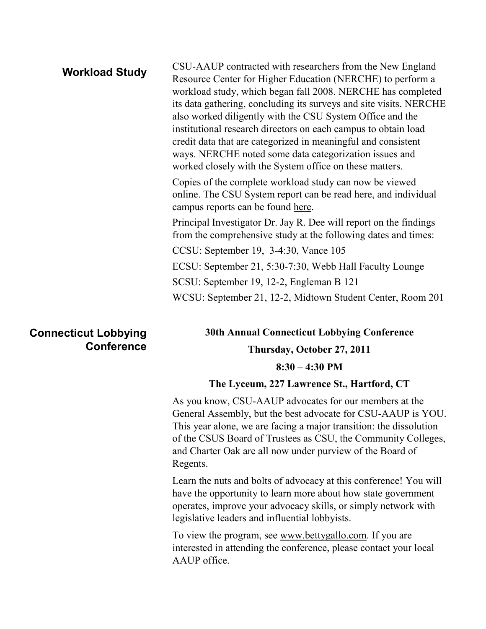| <b>Workload Study</b> | CSU-AAUP contracted with researchers from the New England<br>Resource Center for Higher Education (NERCHE) to perform a<br>workload study, which began fall 2008. NERCHE has completed<br>its data gathering, concluding its surveys and site visits. NERCHE<br>also worked diligently with the CSU System Office and the<br>institutional research directors on each campus to obtain load<br>credit data that are categorized in meaningful and consistent<br>ways. NERCHE noted some data categorization issues and<br>worked closely with the System office on these matters. |
|-----------------------|-----------------------------------------------------------------------------------------------------------------------------------------------------------------------------------------------------------------------------------------------------------------------------------------------------------------------------------------------------------------------------------------------------------------------------------------------------------------------------------------------------------------------------------------------------------------------------------|
|                       | Copies of the complete workload study can now be viewed<br>online. The CSU System report can be read here, and individual<br>campus reports can be found here.                                                                                                                                                                                                                                                                                                                                                                                                                    |
|                       | Principal Investigator Dr. Jay R. Dee will report on the findings<br>from the comprehensive study at the following dates and times:                                                                                                                                                                                                                                                                                                                                                                                                                                               |
|                       | CCSU: September 19, 3-4:30, Vance 105                                                                                                                                                                                                                                                                                                                                                                                                                                                                                                                                             |
|                       | ECSU: September 21, 5:30-7:30, Webb Hall Faculty Lounge                                                                                                                                                                                                                                                                                                                                                                                                                                                                                                                           |
|                       | SCSU: September 19, 12-2, Engleman B 121                                                                                                                                                                                                                                                                                                                                                                                                                                                                                                                                          |
|                       | WCSU: September 21, 12-2, Midtown Student Center, Room 201                                                                                                                                                                                                                                                                                                                                                                                                                                                                                                                        |
|                       |                                                                                                                                                                                                                                                                                                                                                                                                                                                                                                                                                                                   |

# **Connecticut Lobbying Conference**

**30th Annual Connecticut Lobbying Conference Thursday, October 27, 2011 8:30 – 4:30 PM** 

#### **The Lyceum, 227 Lawrence St., Hartford, CT**

As you know, CSU-AAUP advocates for our members at the General Assembly, but the best advocate for CSU-AAUP is YOU. This year alone, we are facing a major transition: the dissolution of the CSUS Board of Trustees as CSU, the Community Colleges, and Charter Oak are all now under purview of the Board of Regents.

Learn the nuts and bolts of advocacy at this conference! You will have the opportunity to learn more about how state government operates, improve your advocacy skills, or simply network with legislative leaders and influential lobbyists.

To view the program, see [www.bettygallo.com.](http://www.bettygallo.com) If you are interested in attending the conference, please contact your local AAUP office.